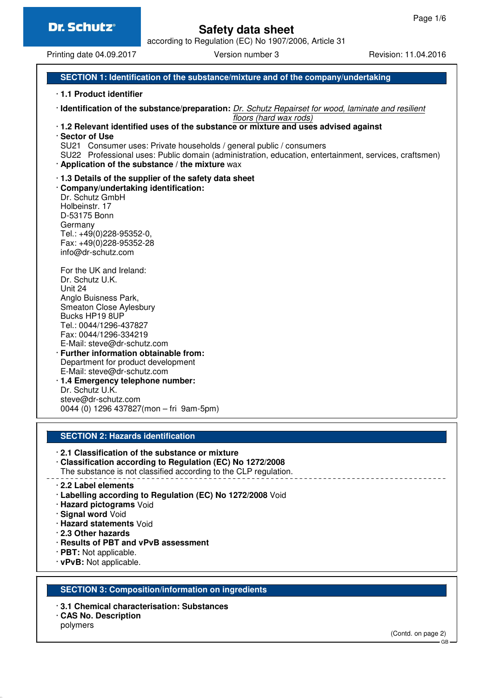# **Safety data sheet**

according to Regulation (EC) No 1907/2006, Article 31

Printing date 04.09.2017 Version number 3 Revision: 11.04.2016

#### **SECTION 1: Identification of the substance/mixture and of the company/undertaking**

- · **1.1 Product identifier**
- · **Identification of the substance/preparation:** Dr. Schutz Repairset for wood, laminate and resilient floors (hard wax rods)
- · **1.2 Relevant identified uses of the substance or mixture and uses advised against**
- · **Sector of Use**
- SU21 Consumer uses: Private households / general public / consumers
- SU22 Professional uses: Public domain (administration, education, entertainment, services, craftsmen)
- · **Application of the substance / the mixture** wax
- · **1.3 Details of the supplier of the safety data sheet**
- · **Company/undertaking identification:** Dr. Schutz GmbH Holbeinstr. 17 D-53175 Bonn Germany Tel.: +49(0)228-95352-0, Fax: +49(0)228-95352-28 info@dr-schutz.com

For the UK and Ireland: Dr. Schutz U.K. Unit 24 Anglo Buisness Park, Smeaton Close Aylesbury Bucks HP19 8UP Tel.: 0044/1296-437827 Fax: 0044/1296-334219 E-Mail: steve@dr-schutz.com

- · **Further information obtainable from:** Department for product development E-Mail: steve@dr-schutz.com
- · **1.4 Emergency telephone number:** Dr. Schutz U.K. steve@dr-schutz.com 0044 (0) 1296 437827(mon – fri 9am-5pm)

#### **SECTION 2: Hazards identification**

- · **2.1 Classification of the substance or mixture**
- · **Classification according to Regulation (EC) No 1272/2008**
- The substance is not classified according to the CLP regulation.
- · **2.2 Label elements**
- · **Labelling according to Regulation (EC) No 1272/2008** Void
- · **Hazard pictograms** Void
- · **Signal word** Void
- · **Hazard statements** Void
- · **2.3 Other hazards**
- · **Results of PBT and vPvB assessment**
- · **PBT:** Not applicable.
- · **vPvB:** Not applicable.

#### **SECTION 3: Composition/information on ingredients**

- · **3.1 Chemical characterisation: Substances**
- · **CAS No. Description**
- polymers

(Contd. on page 2)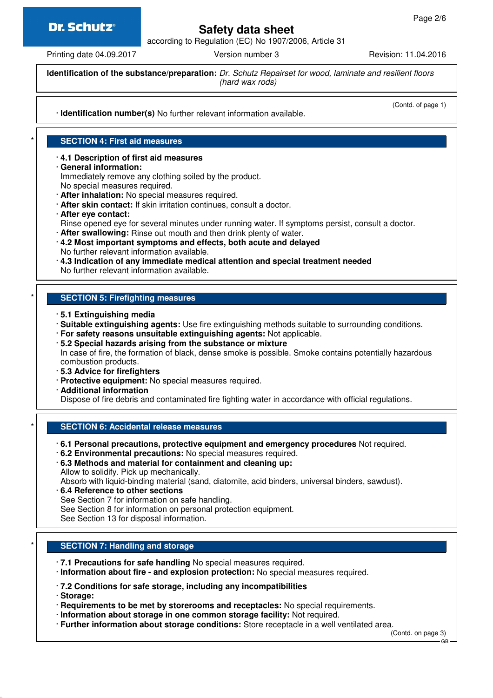### **Dr. Schutz®**

## **Safety data sheet**

according to Regulation (EC) No 1907/2006, Article 31

Printing date 04.09.2017 **Version number 3** Revision: 11.04.2016

(Contd. of page 1)

**Identification of the substance/preparation:** Dr. Schutz Repairset for wood, laminate and resilient floors (hard wax rods)

· **Identification number(s)** No further relevant information available.

#### **SECTION 4: First aid measures**

- · **4.1 Description of first aid measures**
- · **General information:**

Immediately remove any clothing soiled by the product.

- No special measures required.
- · **After inhalation:** No special measures required.
- · **After skin contact:** If skin irritation continues, consult a doctor.
- · **After eye contact:**

Rinse opened eye for several minutes under running water. If symptoms persist, consult a doctor.

- · **After swallowing:** Rinse out mouth and then drink plenty of water.
- · **4.2 Most important symptoms and effects, both acute and delayed**
- No further relevant information available.
- · **4.3 Indication of any immediate medical attention and special treatment needed**

No further relevant information available.

#### **SECTION 5: Firefighting measures**

- · **5.1 Extinguishing media**
- · **Suitable extinguishing agents:** Use fire extinguishing methods suitable to surrounding conditions.
- · **For safety reasons unsuitable extinguishing agents:** Not applicable.

· **5.2 Special hazards arising from the substance or mixture** In case of fire, the formation of black, dense smoke is possible. Smoke contains potentially hazardous combustion products.

- · **5.3 Advice for firefighters**
- · **Protective equipment:** No special measures required.
- · **Additional information**

Dispose of fire debris and contaminated fire fighting water in accordance with official regulations.

### **SECTION 6: Accidental release measures**

- · **6.1 Personal precautions, protective equipment and emergency procedures** Not required.
- · **6.2 Environmental precautions:** No special measures required.
- · **6.3 Methods and material for containment and cleaning up:** Allow to solidify. Pick up mechanically.
- Absorb with liquid-binding material (sand, diatomite, acid binders, universal binders, sawdust).
- · **6.4 Reference to other sections**
- See Section 7 for information on safe handling.
- See Section 8 for information on personal protection equipment.
- See Section 13 for disposal information.

#### **SECTION 7: Handling and storage**

- · **7.1 Precautions for safe handling** No special measures required.
- · **Information about fire and explosion protection:** No special measures required.
- · **7.2 Conditions for safe storage, including any incompatibilities**
- · **Storage:**
- · **Requirements to be met by storerooms and receptacles:** No special requirements.
- · **Information about storage in one common storage facility:** Not required.
- · **Further information about storage conditions:** Store receptacle in a well ventilated area.

(Contd. on page 3)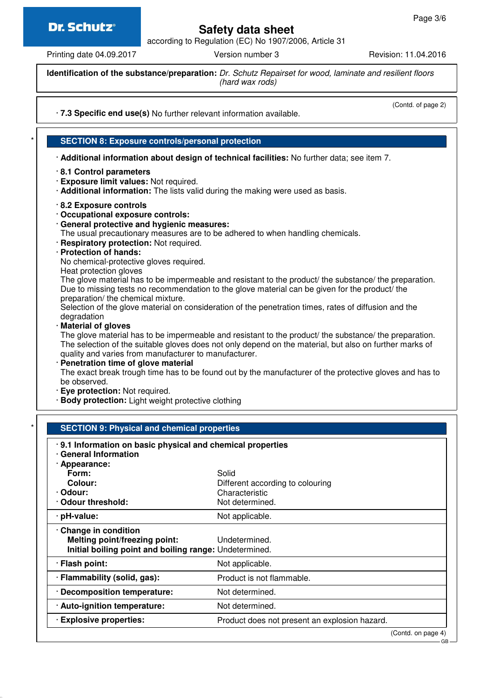### **Dr. Schutz®**

# **Safety data sheet**

according to Regulation (EC) No 1907/2006, Article 31

Printing date 04.09.2017 Version number 3 Revision: 11.04.2016

(Contd. of page 2)

**Identification of the substance/preparation:** Dr. Schutz Repairset for wood, laminate and resilient floors (hard wax rods)

· **7.3 Specific end use(s)** No further relevant information available.

**SECTION 8: Exposure controls/personal protection** 

· **Additional information about design of technical facilities:** No further data; see item 7.

- · **8.1 Control parameters**
- · **Exposure limit values:** Not required.
- · **Additional information:** The lists valid during the making were used as basis.
- · **8.2 Exposure controls**
- · **Occupational exposure controls:**
- · **General protective and hygienic measures:**

The usual precautionary measures are to be adhered to when handling chemicals.

- · **Respiratory protection:** Not required.
- · **Protection of hands:**

No chemical-protective gloves required.

Heat protection gloves

The glove material has to be impermeable and resistant to the product/ the substance/ the preparation. Due to missing tests no recommendation to the glove material can be given for the product/ the preparation/ the chemical mixture.

Selection of the glove material on consideration of the penetration times, rates of diffusion and the degradation

· **Material of gloves**

The glove material has to be impermeable and resistant to the product/ the substance/ the preparation. The selection of the suitable gloves does not only depend on the material, but also on further marks of quality and varies from manufacturer to manufacturer.

· **Penetration time of glove material** The exact break trough time has to be found out by the manufacturer of the protective gloves and has to be observed.

- · **Eye protection:** Not required.
- · **Body protection:** Light weight protective clothing

| · General Information                                  |                                               |
|--------------------------------------------------------|-----------------------------------------------|
| · Appearance:                                          |                                               |
| Form:                                                  | Solid                                         |
| Colour:                                                | Different according to colouring              |
| · Odour:                                               | Characteristic                                |
| Odour threshold:                                       | Not determined.                               |
| · pH-value:                                            | Not applicable.                               |
| Change in condition                                    |                                               |
| Melting point/freezing point:                          | Undetermined.                                 |
| Initial boiling point and boiling range: Undetermined. |                                               |
| · Flash point:                                         | Not applicable.                               |
| · Flammability (solid, gas):                           | Product is not flammable.                     |
| · Decomposition temperature:                           | Not determined.                               |
| · Auto-ignition temperature:                           | Not determined.                               |
| · Explosive properties:                                | Product does not present an explosion hazard. |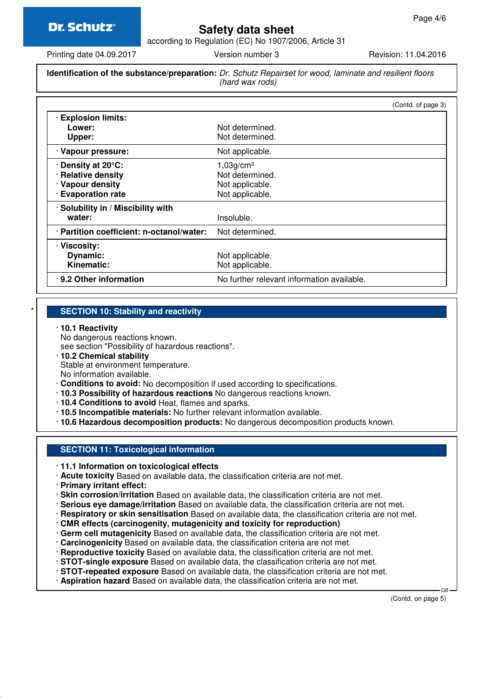# **Safety data sheet**

according to Regulation (EC) No 1907/2006, Article 31

Printing date 04.09.2017 **Version number 3** Revision: 11.04.2016

#### **Identification of the substance/preparation:** Dr. Schutz Repairset for wood, laminate and resilient floors (hard wax rods)

|                                                                                    | (Contd. of page 3)                                                             |
|------------------------------------------------------------------------------------|--------------------------------------------------------------------------------|
| <b>Explosion limits:</b><br>Lower:<br>Upper:                                       | Not determined.<br>Not determined.                                             |
| · Vapour pressure:                                                                 | Not applicable.                                                                |
| . Density at 20°C:<br>· Relative density<br>· Vapour density<br>· Evaporation rate | 1,03g/cm <sup>3</sup><br>Not determined.<br>Not applicable.<br>Not applicable. |
| · Solubility in / Miscibility with<br>water:                                       | Insoluble.                                                                     |
| · Partition coefficient: n-octanol/water:                                          | Not determined.                                                                |
| · Viscosity:<br>Dynamic:<br><b>Kinematic:</b>                                      | Not applicable.<br>Not applicable.                                             |
| .9.2 Other information                                                             | No further relevant information available.                                     |

#### **SECTION 10: Stability and reactivity**

#### · **10.1 Reactivity**

No dangerous reactions known.

see section "Possibility of hazardous reactions".

· **10.2 Chemical stability**

Stable at environment temperature.

No information available.

- · **Conditions to avoid:** No decomposition if used according to specifications.
- · **10.3 Possibility of hazardous reactions** No dangerous reactions known.
- · **10.4 Conditions to avoid** Heat, flames and sparks.
- · **10.5 Incompatible materials:** No further relevant information available.
- · **10.6 Hazardous decomposition products:** No dangerous decomposition products known.

#### **SECTION 11: Toxicological information**

- · **11.1 Information on toxicological effects**
- · **Acute toxicity** Based on available data, the classification criteria are not met.
- · **Primary irritant effect:**
- · **Skin corrosion/irritation** Based on available data, the classification criteria are not met.
- · **Serious eye damage/irritation** Based on available data, the classification criteria are not met.
- · **Respiratory or skin sensitisation** Based on available data, the classification criteria are not met.
- · **CMR effects (carcinogenity, mutagenicity and toxicity for reproduction)**
- · **Germ cell mutagenicity** Based on available data, the classification criteria are not met.
- · **Carcinogenicity** Based on available data, the classification criteria are not met.
- · **Reproductive toxicity** Based on available data, the classification criteria are not met.
- · **STOT-single exposure** Based on available data, the classification criteria are not met.
- · **STOT-repeated exposure** Based on available data, the classification criteria are not met.
- · **Aspiration hazard** Based on available data, the classification criteria are not met.

(Contd. on page 5)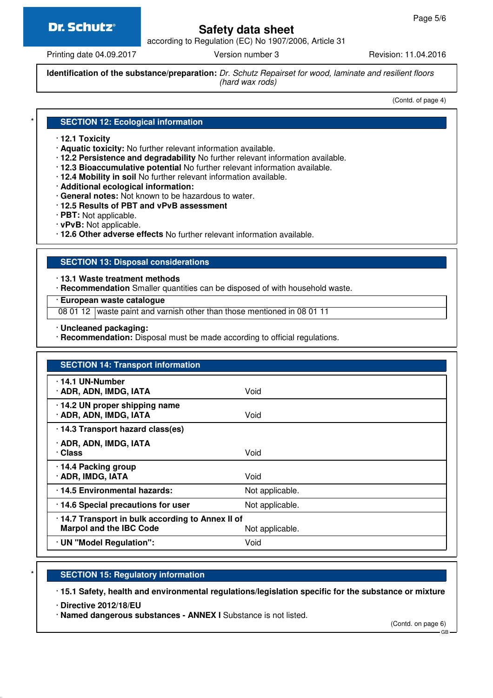### **Dr. Schutz®**

## **Safety data sheet**

according to Regulation (EC) No 1907/2006, Article 31

Printing date 04.09.2017 Version number 3 Revision: 11.04.2016

**Identification of the substance/preparation:** Dr. Schutz Repairset for wood, laminate and resilient floors (hard wax rods)

(Contd. of page 4)

#### **SECTION 12: Ecological information**

- · **12.1 Toxicity**
- · **Aquatic toxicity:** No further relevant information available.
- · **12.2 Persistence and degradability** No further relevant information available.
- · **12.3 Bioaccumulative potential** No further relevant information available.
- · **12.4 Mobility in soil** No further relevant information available.
- · **Additional ecological information:**
- · **General notes:** Not known to be hazardous to water.
- · **12.5 Results of PBT and vPvB assessment**
- · **PBT:** Not applicable.
- · **vPvB:** Not applicable.
- · **12.6 Other adverse effects** No further relevant information available.

#### **SECTION 13: Disposal considerations**

· **13.1 Waste treatment methods**

· **Recommendation** Smaller quantities can be disposed of with household waste.

· **European waste catalogue**

08 01 12 waste paint and varnish other than those mentioned in 08 01 11

- · **Uncleaned packaging:**
- · **Recommendation:** Disposal must be made according to official regulations.

| <b>SECTION 14: Transport information</b>                                                               |                 |  |
|--------------------------------------------------------------------------------------------------------|-----------------|--|
| 14.1 UN-Number<br>· ADR, ADN, IMDG, IATA                                                               | Void            |  |
| · 14.2 UN proper shipping name<br>· ADR, ADN, IMDG, IATA                                               | Void            |  |
| · 14.3 Transport hazard class(es)                                                                      |                 |  |
| · ADR, ADN, IMDG, IATA<br>· Class                                                                      | Void            |  |
| · 14.4 Packing group<br>· ADR, IMDG, IATA                                                              | Void            |  |
| 14.5 Environmental hazards:                                                                            | Not applicable. |  |
| · 14.6 Special precautions for user                                                                    | Not applicable. |  |
| · 14.7 Transport in bulk according to Annex II of<br><b>Marpol and the IBC Code</b><br>Not applicable. |                 |  |
| · UN "Model Regulation":                                                                               | Void            |  |

#### **SECTION 15: Regulatory information**

· **15.1 Safety, health and environmental regulations/legislation specific for the substance or mixture**

· **Directive 2012/18/EU**

· **Named dangerous substances - ANNEX I** Substance is not listed.

(Contd. on page 6)